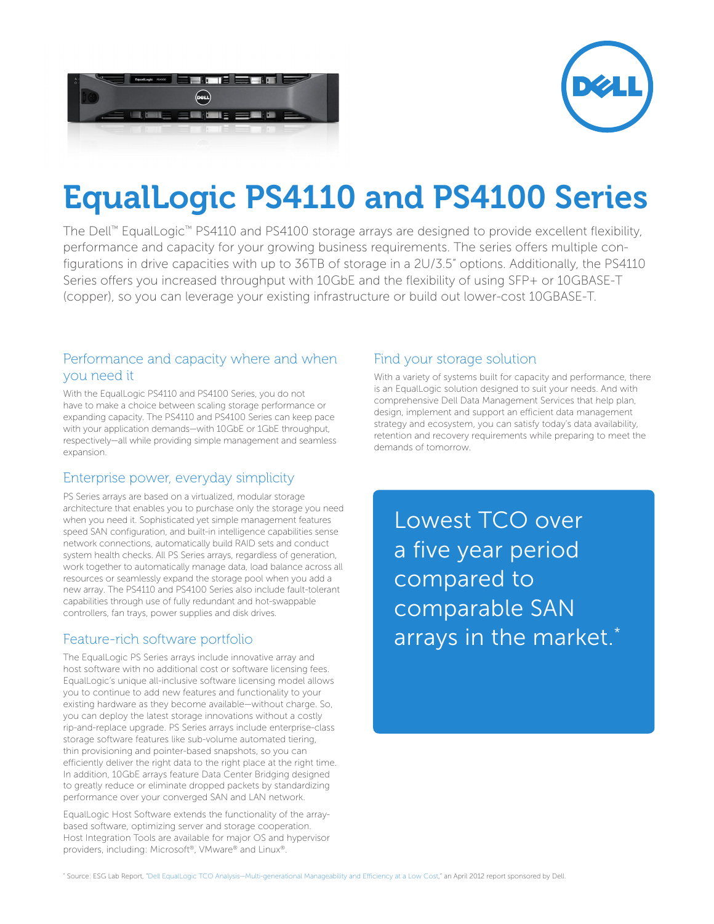



# EqualLogic PS4110 and PS4100 Series

The Dell™ EqualLogic™ PS4110 and PS4100 storage arrays are designed to provide excellent flexibility, performance and capacity for your growing business requirements. The series offers multiple configurations in drive capacities with up to 36TB of storage in a 2U/3.5" options. Additionally, the PS4110 Series offers you increased throughput with 10GbE and the flexibility of using SFP+ or 10GBASE-T (copper), so you can leverage your existing infrastructure or build out lower-cost 10GBASE-T.

#### Performance and capacity where and when you need it

With the EqualLogic PS4110 and PS4100 Series, you do not have to make a choice between scaling storage performance or expanding capacity. The PS4110 and PS4100 Series can keep pace with your application demands—with 10GbE or 1GbE throughput, respectively—all while providing simple management and seamless expansion.

### Enterprise power, everyday simplicity

PS Series arrays are based on a virtualized, modular storage architecture that enables you to purchase only the storage you need when you need it. Sophisticated yet simple management features speed SAN configuration, and built-in intelligence capabilities sense network connections, automatically build RAID sets and conduct system health checks. All PS Series arrays, regardless of generation, work together to automatically manage data, load balance across all resources or seamlessly expand the storage pool when you add a new array. The PS4110 and PS4100 Series also include fault-tolerant capabilities through use of fully redundant and hot-swappable controllers, fan trays, power supplies and disk drives.

### Feature-rich software portfolio

The EqualLogic PS Series arrays include innovative array and host software with no additional cost or software licensing fees. EqualLogic's unique all-inclusive software licensing model allows you to continue to add new features and functionality to your existing hardware as they become available—without charge. So, you can deploy the latest storage innovations without a costly rip-and-replace upgrade. PS Series arrays include enterprise-class storage software features like sub-volume automated tiering, thin provisioning and pointer-based snapshots, so you can efficiently deliver the right data to the right place at the right time. In addition, 10GbE arrays feature Data Center Bridging designed to greatly reduce or eliminate dropped packets by standardizing performance over your converged SAN and LAN network.

EqualLogic Host Software extends the functionality of the arraybased software, optimizing server and storage cooperation. Host Integration Tools are available for major OS and hypervisor providers, including: Microsoft®, VMware® and Linux®.

#### Find your storage solution

With a variety of systems built for capacity and performance, there is an EqualLogic solution designed to suit your needs. And with comprehensive Dell Data Management Services that help plan, design, implement and support an efficient data management strategy and ecosystem, you can satisfy today's data availability, retention and recovery requirements while preparing to meet the demands of tomorrow.

Lowest TCO over a five year period compared to comparable SAN arrays in the market.\*